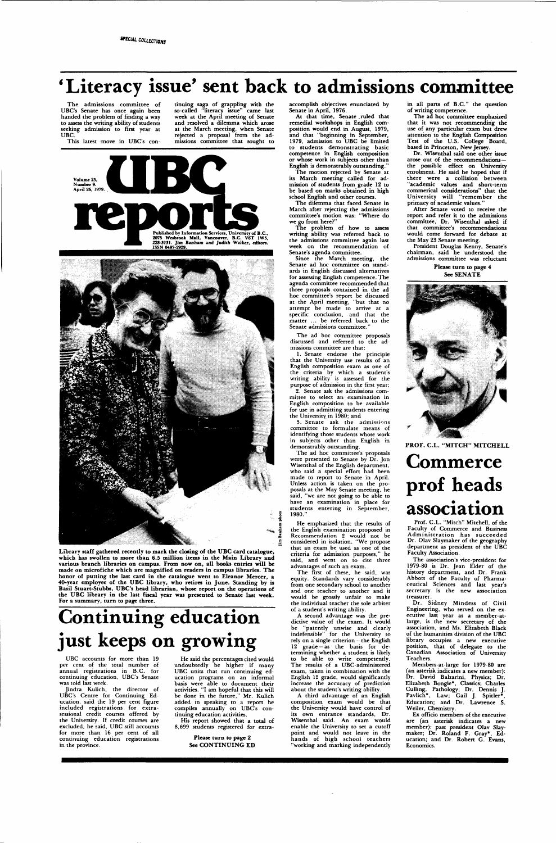## *'* **Literacy issue' sent back to admissions committee**

The admissions committee of UBC's Senate has once again been handed the problem of finding a way to assess the writing ability of students seeking admission to first year at UBC.

This latest move in UBC's con-

tinuing saga of grappling with the so-called "literacy issue" came last week at the April meeting of Senate and resolved a dilemma which arose at the March meeting, when Senate rejected a proposal from the admissions committee that sought to





Library staff gathered recently to mark the closing of the UBC card catalogue, **which has swollen to more than 6.5 million items in the Main Library and various branch libraries on campus. From now on, all books entries will be made** on **microfiche which are magnified on readers in campus libraries. The honor** of **putting the last card in the catalogue went to Eleanor Mercer, a**  40-year employee **of the** UBC library, **who retires in June. Standing** by is Basil Stuart-Stubbs, **UBC's head librarian, whose report on the operations of the** UBC library in **the** last fiscal year **was presented to Senate last week.**  For a summary, turn to page three.

# **Continuing education just keeps on growing**

The motion rejected by Senate at its March meeting called for admission of students from grade 12 to be based on marks obtained in high school English and other courses.

UBC accounts for more than 19 per cent of the total number of annual registrations in B.C. for continuing education, UBC's Senate was told last week.

The dilemma that faced Senate in March after rejecting the admissions committee's motion was: "Where do we go from here?"

The problem of how to assess writing ability was referred back to the admissions committee again last week on the recommendation of Senate's agenda committee.

Since the March meeting, the Senate ad hoc committee on standards in English discussed alternatives for assessing English competence. The agenda committee recommended that three proposals contained in the ad hoc committee's report be discussed at the April meeting, "but that no attempt be made to arrive at a specific conclusion, and that the matter ... be referred back to the Senate admissions committee.

Jindra Kulich, the director of UBC's Centre for Continuing Education, said the 19 per cent figure included registrations for extrasessional credit courses offered by the University. If credit courses are excluded, he said, UBC still accounts for more than 16 per cent of all continuing education registrations in the province.

The ad hoc committee proposals discussed and referred to the admissions committee are that:

He said the percentages cited would undoubtedly be higher if many UBC units that run continuing education programs on an informal basis were able to document their activities. "I am hopeful that this will be done in the future," Mr. Kulich added in speaking to a report he compiles annually on UBC's continuing education activities.

His report showed that a total of 8,699 students registered for extra-

> **Please turn to page 2 See CONTINUING ED**

accomplish objectives enunciated by Senate in April, 1976.

At that time, Senate .ruled that remedial workshops in English composition would end in August, 1979, and that "beginning in September, 1979, admission to UBC be limited to students demonstrating basic competence in English composition or whose work in subjects other than English is demonstrably outstanding."

dictive value of the exam. It would be "patently unwise and clearly indefensible" for the University to rely on a single criterion — the English 12 grade —as the basis for determining whether a student is likely to be able to write competently. The results of a UBC-administered exam, taken in combination with the English 12 grade, would significantly increase the accuracy of prediction about the student's writing ability.

in all parts of B.C." the question of writing competence.

The ad hoc committee emphasized that it was not recommending the use of any particular exam but drew attention to the English Composition Test of the U.S. College Board, based in Princeton, New Jersey.

Dr. Wisenthal said one other issue arose out of the recommendations the possible effect on University enrolment. He said he hoped that if there were a collision between "academic values and short-term commerical considerations" that the University will "remember the primacy of academic values.

1. Senate endorse the principle that the University use results of an English composition exam as one of the criteria by which a student's writing ability is assessed for the purpose of admission in the first year;

2. Senate ask the admissions committee to select an examination in English composition to be available for use in admitting students entering the University in 1980; and

3. Senate ask the admissions committee to formulate means of identifying those students whose work in subjects other than English in demonstrably outstanding.

The ad hoc committee's proposals were presented to Senate by Dr. Jon Wisenthal of the English department, who said a special effort had been made to report to Senate in April. Unless action is taken on the proposals at the May Senate meeting, he said, "we are not going to be able to have an examination in place for students entering in September, 1980."

He emphasized that the results of the English examination proposed in Recommendation 2 would not be considered in isolation. "We propose that an exam be used as one of the criteria for admission purposes," he said, and went on to cite three advantages of such an exam.

The first of these, he said, was equity. Standards vary considerably from one secondary school to another and one teacher to another and it would be grossly unfair to make the individual teacher the sole arbiter of a student's writing ability.

A second advantage was the pre-

A third advantage of an English composition exam would be that the University would have control of its own entrance standards, Dr. Wisenthal said. An exam would enable the University to set a cutoff point and would not leave in the hands of high school teachers "working and marking independently

After Senate voted to receive the report and refer it to the admissions committee, Dr. Wisenthal asked if that committee's recommendations would come forward for debate at the May 23 Senate meeting.

President Douglas Kenny, Senate's chairman, said he understood the admissions committee was reluctant

**Please turn to page 4 See SENATE** 



**PROF. C.L. "MITCH" MITCHELL** 

## **Commerce prof heads association**

Prof. C.L. "Mitch" Mitchell, of the Faculty of Commerce and Business Administration has succeeded Dr. Olav Slaymaker of the geography department as president of the UBC Faculty Association.

The association's vice-president for 1979-80 is Dr. Jean Elder of the history department, and Dr. Frank Abbott of the Faculty of Pharmaceutical Sciences and last year's secretary is the new association treasurer.

Dr. Sidney Mindess of Civil Engineering, who served on the executive last year as a member-at-

large, is the new secretary of the association, and Ms. Elizabeth Black of the humanities division of the UBC library occupies a new executive position, that of delegate to the Canadian Association of University Teachers.

Members-at-large for 1979-80 are (an asterisk indicates a new member): Dr. David Balzarini, Physics; Dr. Elizabeth Bongie\*, Classics; Charles Culling, Pathology; Dr. Dennis J. Pavlich\*. Law; Gail J. Spider\*, Education; and Dr. Lawrence S. Weiler, Chemistry.

Ex officio members of the executive are (an asterisk indicates a new member): past president Olav Slaymaker; Dr. Roland F. Gray\*, Education; and Dr. Robert G. Evans, Economics.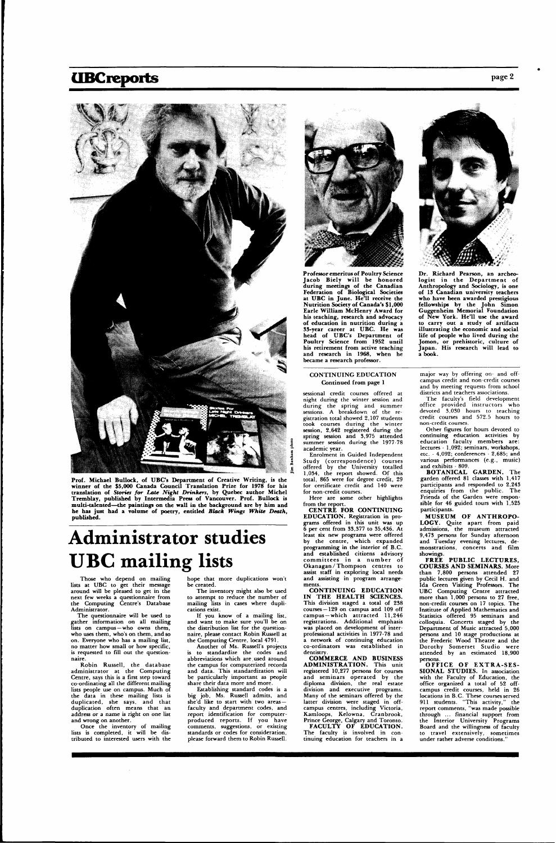### **UBCreports** page 2



**Prof. Michael Bullock, of UBC's Department of Creative Writing, is the winner of the \$5,000 Canada Council Translation Prize for 1978 for his translation of** *Stories for Late Night Drinkers,* **by Quebec author Michel Tremblay, published by Intermedia Press of Vancouver. Prof. Bullock is multi-talented—the paintings on the wall in the background are by him and he has just had a volume of poetry, entitled** *Black Wings White Death,*  **published.** 

# **Administrator studies UBC mailing lists**

Those who depend on mailing lists at UBC to get their message around will be pleased to get in the next few weeks a questionnaire from the Computing Centre's Database Administrator.

The questionnaire will be used to

Robin Russell, the database administrator at the Computing Centre, says this is a first step toward co-ordinating all the different mailing lists people use on campus. Much of the data in these mailing lists is duplicated, she says, and that duplication often means that an address or a name is right on one list and wrong on another.

hope that more duplications won't be created. The inventory might also be used

gather information on all mailing lists on campus —who owns them, who uses them, who's on them, and so on. Everyone who has a mailing list, no matter how small or how specific, is requested to fill out the questionnaire.

Once the inventory of mailing lists is completed, it will be distributed to interested users with the

to attempt to reduce the number of mailing lists in cases where duplications exist.

If you know of a mailing list,



#### CONTINUING EDUCATION **Continued from** page 1

sessional credit courses offered at night during the winter session and during the spring and summer sessions. A breakdown of the registration total showed 2,107 students took courses during the winter session, 2,642 registered during the spring session and 3,975 attended summer session during the 1977-78 academic year.

and want to make sure you'll be on the distribution list for the questionnaire, please contact Robin Russell at the Computing Centre, local 4791.

Another of Ms. Russell's projects is to standardize the codes and abbreviations which are,used around the campus for computerized records and data. This standardization will be particularly important as people share their data more and more.

Enrolment in Guided Independent Study (correspondence) courses  $\epsilon$  offered by the University totalled  $-1,034$ , the report showed. Of this total, 865 were for degree credit, 29 for certificate credit and 140 were for non-credit courses.

Establishing standard codes is a big job, Ms. Russell admits, and she'd like to start with two areas faculty and department codes, and report identification for computerproduced reports. If you have comments, suggestions, or existing standards or codes for consideration, please forward them to Robin Russell. **Professor emeritus of Poultry Science Jacob Biel y will be honored during meetings of the Canadian Federation of Biological Societies at UBC in June. He'll receive the Nutrition Society of Canada's \$1,000 Earle William McHenry Award for his teaching, research and advocacy of education in nutrition during a 33-year career at UBC. He was head of UBC's Department of Poultry Science from 1952 until his retirement from** active teaching **and research in 1968, when** he became a research professor.

**CONTINUING EDUCATION IN THE HEALTH SCIENCES.** This division staged a total of 238 courses—129 on campus and 109 off campus —which attracted 11,246 registrations. Additional emphasis was placed on development of interprofessional activities in 1977-78 and a network of continuing education co-ordinators was established in dentistry. **COMMERCE AND BUSINESS ADMINISTRATION .** This unit registered 10,277 persons for courses and seminars operated by the diploma division, the real estate division and executive programs. Many of the seminars offered by the latter division were staged in offcampus centres, including Victoria, Kamloops, Kelowna, Cranbrook, Prince George, Calgary and Toronto. **FACULTY OF EDUCATION.**  The faculty is involved in continuing education for teachers in a



**BOTANICAL GARDEN.** The garden offered 81 classes with 1,417 participants and responded to 2,243 enquiries from the public. The Friends of the Garden were responsible for 46 guided tours with 1,525 participants.

**Dr. Richard Pearson, an archeo**logist in the Department of **Anthropology and Sociology, is one of 13 Canadian university teachers who have been awarded prestigious fellowships by the John Simon Guggenheim Memorial Foundation of New York. He'll use the award to carry out a** study of **artifacts illustrating the economic and social life of people who** lived **during the**  Jomon, or prehistoric, culture of **Japan.** His research **will lead to**  a **book.** 

**FREE PUBLIC LECTURES, COURSES AND SEMINARS.** More than 7,800 persons attended 27 public lectures given by Cecil H. and Ida Green Visiting Professors. The UBC Computing Centre attracted more than 1,000 persons to 27 free, non-credit courses on 17 topics. The Institute of Applied Mathematics and Statistics offered 95 seminars and colloquia. Concerts staged by the Department of Music attracted 5,000 persons and 10 stage productions at the Frederic Wood Theatre and the Dorothy Somerset Studio were attended by an estimated 18,900 persons. **OFFIC E O F EXTRA-SES - SIONAL STUDIES.** In association with the Faculty of Education, the office organized a total of 52 offcampus credit courses, held in 26 locations in B.C. These courses served 911 students. "This activity," the report comments, "was made possible through ... financial support from the Interior University Programs Board and the willingness of faculty to travel extensively, sometimes under rather adverse conditions."

Here are some other highlights from the report.

**CENTRE FOR CONTINUING EDUCATION.** Registration in programs offered in this unit was up 6 per cent from 33,377 to 35,436. At least six new programs were offered by the centre, which expanded programming in the interior of B.C. and established citizens advisory committees in a number of Okanagan/Thompson centres to assist staff in exploring local needs and assisting in program arrangements

major way by offering on- and offcampus credit and non-credit courses and by meeting requests from school districts and teachers associations.

The faculty's field development office provided instructors who devoted 3,030 hours to teaching credit courses and 572.5 hours to non-credit courses.

Other figures for hours devoted to continuing education activities by education faculty members are : lectures - 1,092; seminars, workshops, etc. - 4,092; conferences - 2,685; and various performances (e.g., music) and exhibits - 809.

**MUSEU M OF ANTHROPO - LOGY.** Quite apart from paid admissions, the museum attracted 9,473 persons for Sunday afternoon and Tuesday evening lectures, demonstrations, concerts and film showings.